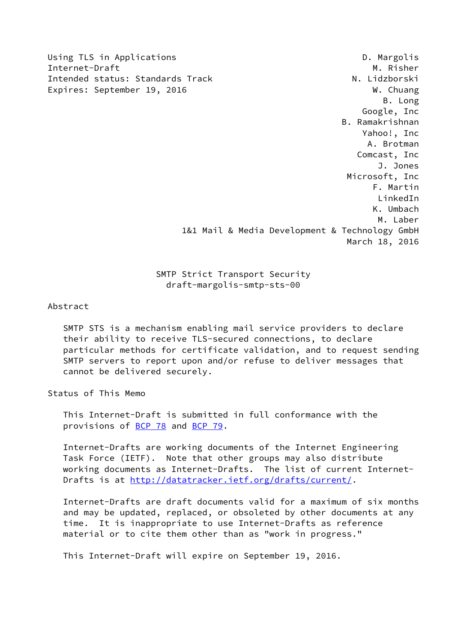Using TLS in Applications D. Margolis

Internet-Draft M. Risher Intended status: Standards Track N. Lidzborski Expires: September 19, 2016 M. Chuang B. Long Google, Inc B. Ramakrishnan Yahoo!, Inc A. Brotman Comcast, Inc J. Jones Microsoft, Inc F. Martin LinkedIn K. Umbach M. Laber 1&1 Mail & Media Development & Technology GmbH March 18, 2016

> SMTP Strict Transport Security draft-margolis-smtp-sts-00

Abstract

 SMTP STS is a mechanism enabling mail service providers to declare their ability to receive TLS-secured connections, to declare particular methods for certificate validation, and to request sending SMTP servers to report upon and/or refuse to deliver messages that cannot be delivered securely.

Status of This Memo

 This Internet-Draft is submitted in full conformance with the provisions of [BCP 78](https://datatracker.ietf.org/doc/pdf/bcp78) and [BCP 79](https://datatracker.ietf.org/doc/pdf/bcp79).

 Internet-Drafts are working documents of the Internet Engineering Task Force (IETF). Note that other groups may also distribute working documents as Internet-Drafts. The list of current Internet Drafts is at<http://datatracker.ietf.org/drafts/current/>.

 Internet-Drafts are draft documents valid for a maximum of six months and may be updated, replaced, or obsoleted by other documents at any time. It is inappropriate to use Internet-Drafts as reference material or to cite them other than as "work in progress."

This Internet-Draft will expire on September 19, 2016.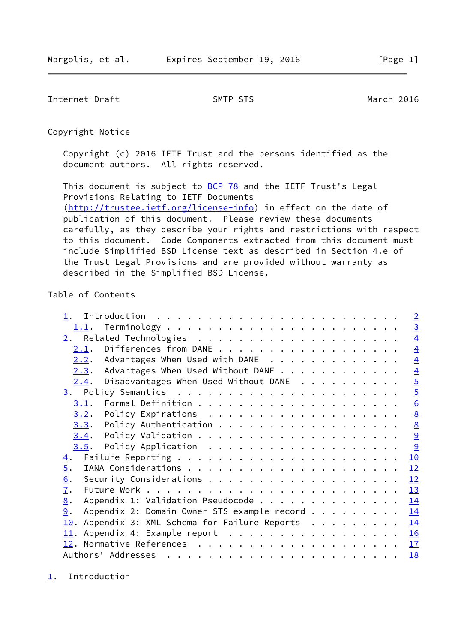<span id="page-1-1"></span>Internet-Draft SMTP-STS March 2016

Copyright Notice

 Copyright (c) 2016 IETF Trust and the persons identified as the document authors. All rights reserved.

This document is subject to **[BCP 78](https://datatracker.ietf.org/doc/pdf/bcp78)** and the IETF Trust's Legal Provisions Relating to IETF Documents [\(http://trustee.ietf.org/license-info](http://trustee.ietf.org/license-info)) in effect on the date of publication of this document. Please review these documents carefully, as they describe your rights and restrictions with respect to this document. Code Components extracted from this document must include Simplified BSD License text as described in Section 4.e of the Trust Legal Provisions and are provided without warranty as described in the Simplified BSD License.

# Table of Contents

|                                                   | $\overline{2}$  |
|---------------------------------------------------|-----------------|
| 1.1.                                              | $\overline{3}$  |
|                                                   | $\overline{4}$  |
| 2.1.                                              | $\overline{4}$  |
| Advantages When Used with DANE<br>2.2.            | $\overline{4}$  |
| Advantages When Used Without DANE<br>2.3.         | $\overline{4}$  |
| Disadvantages When Used Without DANE<br>2.4.      | $\overline{5}$  |
|                                                   | $\overline{5}$  |
| 3.1.                                              | $\underline{6}$ |
| 3.2.                                              | 8               |
| 3.3.                                              | $\underline{8}$ |
| 3.4.                                              | 9               |
|                                                   | 9               |
| $\overline{4}$ .                                  | 10              |
| $\overline{5}$ .                                  | 12              |
| 6.                                                | 12              |
| $\overline{1}$ .                                  | 13              |
| Appendix 1: Validation Pseudocode<br>8.           | 14              |
| Appendix 2: Domain Owner STS example record<br>9. | 14              |
| Appendix 3: XML Schema for Failure Reports<br>10. | 14              |
| 11. Appendix 4: Example report 16                 |                 |
|                                                   | 17              |
|                                                   | <b>18</b>       |

<span id="page-1-0"></span>[1](#page-1-0). Introduction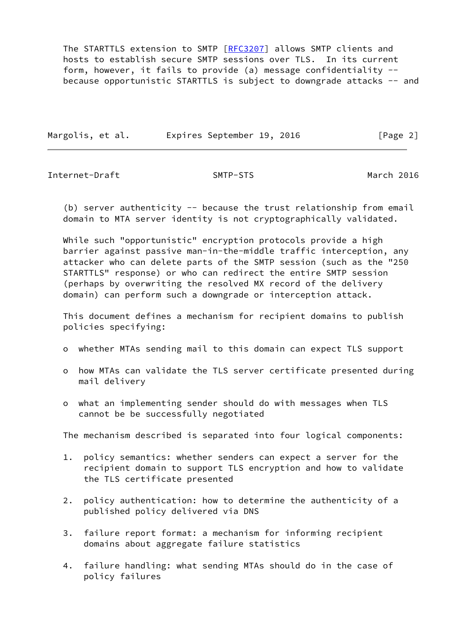The STARTTLS extension to SMTP [\[RFC3207](https://datatracker.ietf.org/doc/pdf/rfc3207)] allows SMTP clients and hosts to establish secure SMTP sessions over TLS. In its current form, however, it fails to provide (a) message confidentiality - because opportunistic STARTTLS is subject to downgrade attacks -- and

Margolis, et al. Expires September 19, 2016 [Page 2]

<span id="page-2-0"></span>Internet-Draft SMTP-STS March 2016

(b) server authenticity  $-$  because the trust relationship from email domain to MTA server identity is not cryptographically validated.

 While such "opportunistic" encryption protocols provide a high barrier against passive man-in-the-middle traffic interception, any attacker who can delete parts of the SMTP session (such as the "250 STARTTLS" response) or who can redirect the entire SMTP session (perhaps by overwriting the resolved MX record of the delivery domain) can perform such a downgrade or interception attack.

 This document defines a mechanism for recipient domains to publish policies specifying:

- o whether MTAs sending mail to this domain can expect TLS support
- o how MTAs can validate the TLS server certificate presented during mail delivery
- o what an implementing sender should do with messages when TLS cannot be be successfully negotiated

The mechanism described is separated into four logical components:

- 1. policy semantics: whether senders can expect a server for the recipient domain to support TLS encryption and how to validate the TLS certificate presented
- 2. policy authentication: how to determine the authenticity of a published policy delivered via DNS
- 3. failure report format: a mechanism for informing recipient domains about aggregate failure statistics
- 4. failure handling: what sending MTAs should do in the case of policy failures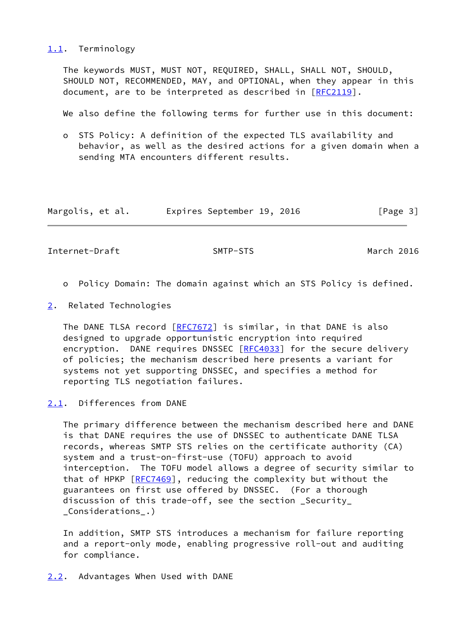<span id="page-3-0"></span>[1.1](#page-3-0). Terminology

 The keywords MUST, MUST NOT, REQUIRED, SHALL, SHALL NOT, SHOULD, SHOULD NOT, RECOMMENDED, MAY, and OPTIONAL, when they appear in this document, are to be interpreted as described in [\[RFC2119](https://datatracker.ietf.org/doc/pdf/rfc2119)].

We also define the following terms for further use in this document:

 o STS Policy: A definition of the expected TLS availability and behavior, as well as the desired actions for a given domain when a sending MTA encounters different results.

| Margolis, et al. | Expires September 19, 2016 | [Page 3] |
|------------------|----------------------------|----------|
|------------------|----------------------------|----------|

<span id="page-3-2"></span>Internet-Draft SMTP-STS March 2016

- o Policy Domain: The domain against which an STS Policy is defined.
- <span id="page-3-1"></span>[2](#page-3-1). Related Technologies

 The DANE TLSA record [\[RFC7672](https://datatracker.ietf.org/doc/pdf/rfc7672)] is similar, in that DANE is also designed to upgrade opportunistic encryption into required encryption. DANE requires DNSSEC [[RFC4033](https://datatracker.ietf.org/doc/pdf/rfc4033)] for the secure delivery of policies; the mechanism described here presents a variant for systems not yet supporting DNSSEC, and specifies a method for reporting TLS negotiation failures.

<span id="page-3-3"></span>[2.1](#page-3-3). Differences from DANE

 The primary difference between the mechanism described here and DANE is that DANE requires the use of DNSSEC to authenticate DANE TLSA records, whereas SMTP STS relies on the certificate authority (CA) system and a trust-on-first-use (TOFU) approach to avoid interception. The TOFU model allows a degree of security similar to that of HPKP [\[RFC7469](https://datatracker.ietf.org/doc/pdf/rfc7469)], reducing the complexity but without the guarantees on first use offered by DNSSEC. (For a thorough discussion of this trade-off, see the section \_Security\_ \_Considerations\_.)

 In addition, SMTP STS introduces a mechanism for failure reporting and a report-only mode, enabling progressive roll-out and auditing for compliance.

<span id="page-3-4"></span>[2.2](#page-3-4). Advantages When Used with DANE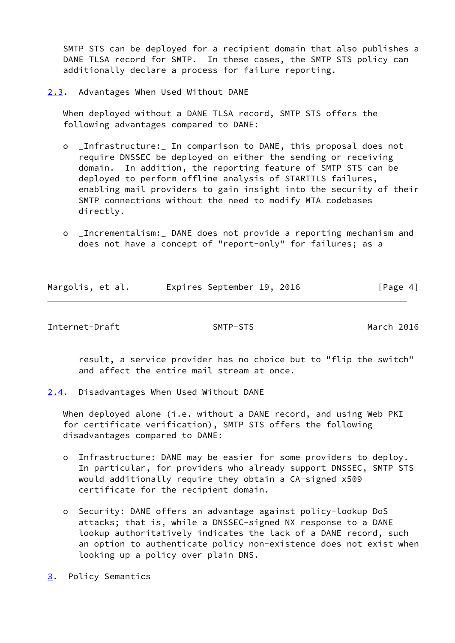SMTP STS can be deployed for a recipient domain that also publishes a DANE TLSA record for SMTP. In these cases, the SMTP STS policy can additionally declare a process for failure reporting.

<span id="page-4-0"></span>[2.3](#page-4-0). Advantages When Used Without DANE

 When deployed without a DANE TLSA record, SMTP STS offers the following advantages compared to DANE:

- o \_Infrastructure:\_ In comparison to DANE, this proposal does not require DNSSEC be deployed on either the sending or receiving domain. In addition, the reporting feature of SMTP STS can be deployed to perform offline analysis of STARTTLS failures, enabling mail providers to gain insight into the security of their SMTP connections without the need to modify MTA codebases directly.
- o \_Incrementalism:\_ DANE does not provide a reporting mechanism and does not have a concept of "report-only" for failures; as a

| Margolis, et al. |  | Expires September 19, 2016 |  | [Page 4] |  |
|------------------|--|----------------------------|--|----------|--|

<span id="page-4-2"></span>Internet-Draft SMTP-STS March 2016

 result, a service provider has no choice but to "flip the switch" and affect the entire mail stream at once.

<span id="page-4-1"></span>[2.4](#page-4-1). Disadvantages When Used Without DANE

When deployed alone (i.e. without a DANE record, and using Web PKI for certificate verification), SMTP STS offers the following disadvantages compared to DANE:

- o Infrastructure: DANE may be easier for some providers to deploy. In particular, for providers who already support DNSSEC, SMTP STS would additionally require they obtain a CA-signed x509 certificate for the recipient domain.
- o Security: DANE offers an advantage against policy-lookup DoS attacks; that is, while a DNSSEC-signed NX response to a DANE lookup authoritatively indicates the lack of a DANE record, such an option to authenticate policy non-existence does not exist when looking up a policy over plain DNS.
- <span id="page-4-3"></span>[3](#page-4-3). Policy Semantics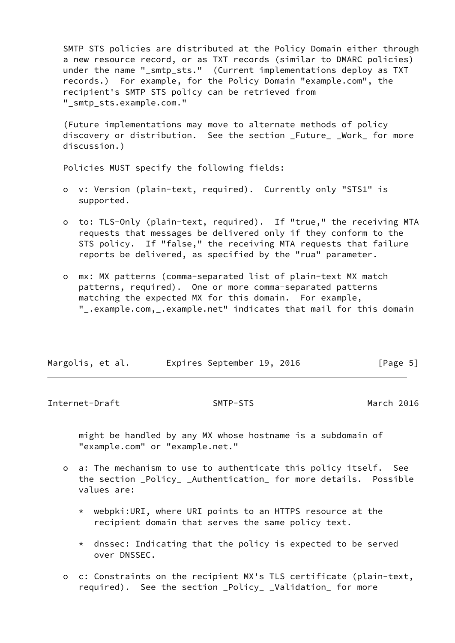SMTP STS policies are distributed at the Policy Domain either through a new resource record, or as TXT records (similar to DMARC policies) under the name " smtp sts." (Current implementations deploy as TXT records.) For example, for the Policy Domain "example.com", the recipient's SMTP STS policy can be retrieved from "\_smtp\_sts.example.com."

 (Future implementations may move to alternate methods of policy discovery or distribution. See the section \_Future\_ \_Work\_ for more discussion.)

Policies MUST specify the following fields:

- o v: Version (plain-text, required). Currently only "STS1" is supported.
- o to: TLS-Only (plain-text, required). If "true," the receiving MTA requests that messages be delivered only if they conform to the STS policy. If "false," the receiving MTA requests that failure reports be delivered, as specified by the "rua" parameter.
- o mx: MX patterns (comma-separated list of plain-text MX match patterns, required). One or more comma-separated patterns matching the expected MX for this domain. For example, "\_.example.com,\_.example.net" indicates that mail for this domain

| Margolis, et al. | Expires September 19, 2016 |  | [Page 5] |  |
|------------------|----------------------------|--|----------|--|
|                  |                            |  |          |  |

<span id="page-5-0"></span>Internet-Draft SMTP-STS March 2016

 might be handled by any MX whose hostname is a subdomain of "example.com" or "example.net."

- o a: The mechanism to use to authenticate this policy itself. See the section \_Policy\_ \_Authentication\_ for more details. Possible values are:
	- \* webpki:URI, where URI points to an HTTPS resource at the recipient domain that serves the same policy text.
	- $*$  dnssec: Indicating that the policy is expected to be served over DNSSEC.
- o c: Constraints on the recipient MX's TLS certificate (plain-text, required). See the section \_Policy\_ \_Validation\_ for more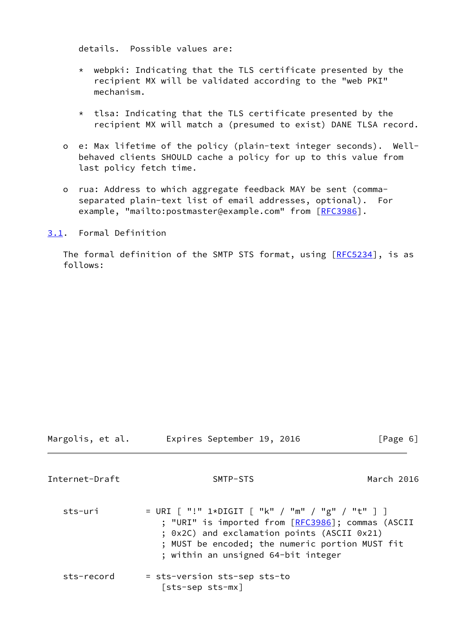details. Possible values are:

- \* webpki: Indicating that the TLS certificate presented by the recipient MX will be validated according to the "web PKI" mechanism.
- \* tlsa: Indicating that the TLS certificate presented by the recipient MX will match a (presumed to exist) DANE TLSA record.
- o e: Max lifetime of the policy (plain-text integer seconds). Well behaved clients SHOULD cache a policy for up to this value from last policy fetch time.
- o rua: Address to which aggregate feedback MAY be sent (comma separated plain-text list of email addresses, optional). For example, "mailto:postmaster@example.com" from [\[RFC3986](https://datatracker.ietf.org/doc/pdf/rfc3986)].

<span id="page-6-0"></span>[3.1](#page-6-0). Formal Definition

The formal definition of the SMTP STS format, using [\[RFC5234](https://datatracker.ietf.org/doc/pdf/rfc5234)], is as follows:

Margolis, et al. **Expires September 19, 2016**[Page 6]

Internet-Draft SMTP-STS March 2016

sts-uri = URI [ "!" 1\*DIGIT [ "k" / "m" / "g" / "t" ] ] ; "URI" is imported from [\[RFC3986](https://datatracker.ietf.org/doc/pdf/rfc3986)]; commas (ASCII ; 0x2C) and exclamation points (ASCII 0x21) ; MUST be encoded; the numeric portion MUST fit ; within an unsigned 64-bit integer sts-record = sts-version sts-sep sts-to [sts-sep sts-mx]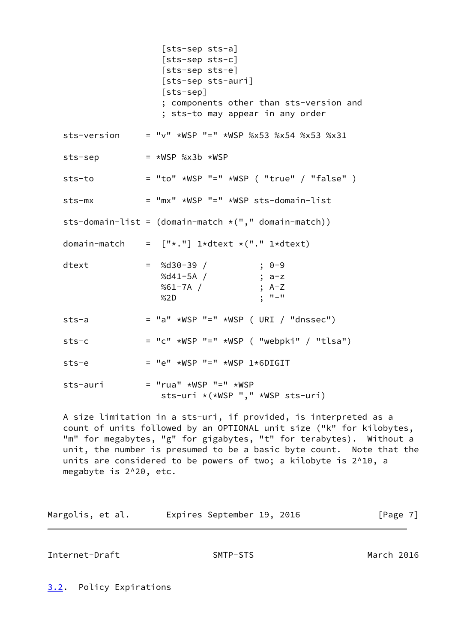|             | [sts-sep sts-a]<br>[sts-sep sts-c]<br>[sts-sep sts-e]<br>[sts-sep sts-auri]<br>$[sts-sep]$<br>; components other than sts-version and<br>; sts-to may appear in any order |
|-------------|---------------------------------------------------------------------------------------------------------------------------------------------------------------------------|
| sts-version | $=$ "v" *WSP "=" *WSP %x53 %x54 %x53 %x31                                                                                                                                 |
| sts-sep     | $=$ *WSP %x3b *WSP                                                                                                                                                        |
| sts-to      | $=$ "to" *WSP "=" *WSP ( "true" / "false" )                                                                                                                               |
| sts-mx      | $=$ "mx" *WSP "=" *WSP sts-domain-list                                                                                                                                    |
|             | sts-domain-list = $(domain-match * ("," domain-match))$                                                                                                                   |
|             | domain-match = $["*."]$ 1*dtext *("." 1*dtext)                                                                                                                            |
| dtext       | $=$ %d30-39 /<br>$; 0-9$<br>%d41-5A /<br>; a-z<br>%61-7A /<br>; $A-Z$<br>$; "--"$<br>%2D                                                                                  |
| $sts-a$     | $=$ "a" *WSP "=" *WSP ( URI / "dnssec")                                                                                                                                   |
| $sts-c$     | $=$ "c" *WSP "=" *WSP ( "webpki" / "tlsa")                                                                                                                                |
| sts-e       | $=$ "e" *WSP "=" *WSP 1*6DIGIT                                                                                                                                            |
| sts-auri    | $=$ "rua" *WSP "=" *WSP<br>sts-uri *(*WSP "," *WSP sts-uri)                                                                                                               |
|             | A size limitation in a sts-uri, if provided, is interpreted as a                                                                                                          |

 count of units followed by an OPTIONAL unit size ("k" for kilobytes, "m" for megabytes, "g" for gigabytes, "t" for terabytes). Without a unit, the number is presumed to be a basic byte count. Note that the units are considered to be powers of two; a kilobyte is 2^10, a megabyte is 2^20, etc.

| Margolis, et al. |  | Expires September 19, 2016 |  | [Page 7] |  |
|------------------|--|----------------------------|--|----------|--|
|                  |  |                            |  |          |  |

<span id="page-7-1"></span>Internet-Draft SMTP-STS March 2016

<span id="page-7-0"></span>[3.2](#page-7-0). Policy Expirations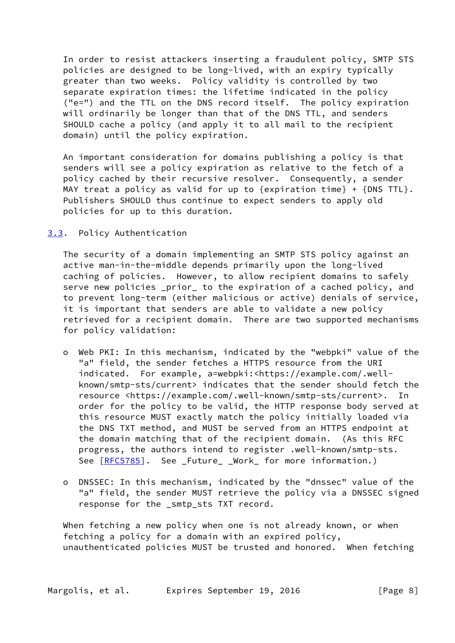In order to resist attackers inserting a fraudulent policy, SMTP STS policies are designed to be long-lived, with an expiry typically greater than two weeks. Policy validity is controlled by two separate expiration times: the lifetime indicated in the policy ("e=") and the TTL on the DNS record itself. The policy expiration will ordinarily be longer than that of the DNS TTL, and senders SHOULD cache a policy (and apply it to all mail to the recipient domain) until the policy expiration.

 An important consideration for domains publishing a policy is that senders will see a policy expiration as relative to the fetch of a policy cached by their recursive resolver. Consequently, a sender MAY treat a policy as valid for up to  $\{$ expiration time $\}$  +  $\{DNS$  TTL $\}$ . Publishers SHOULD thus continue to expect senders to apply old policies for up to this duration.

### <span id="page-8-0"></span>[3.3](#page-8-0). Policy Authentication

The security of a domain implementing an SMTP STS policy against an active man-in-the-middle depends primarily upon the long-lived caching of policies. However, to allow recipient domains to safely serve new policies \_prior\_ to the expiration of a cached policy, and to prevent long-term (either malicious or active) denials of service, it is important that senders are able to validate a new policy retrieved for a recipient domain. There are two supported mechanisms for policy validation:

- o Web PKI: In this mechanism, indicated by the "webpki" value of the "a" field, the sender fetches a HTTPS resource from the URI indicated. For example, a=webpki:<https://example.com/.well known/smtp-sts/current> indicates that the sender should fetch the resource <https://example.com/.well-known/smtp-sts/current>. In order for the policy to be valid, the HTTP response body served at this resource MUST exactly match the policy initially loaded via the DNS TXT method, and MUST be served from an HTTPS endpoint at the domain matching that of the recipient domain. (As this RFC progress, the authors intend to register .well-known/smtp-sts. See  $[REC5785]$ . See \_Future\_ \_Work\_ for more information.)
- o DNSSEC: In this mechanism, indicated by the "dnssec" value of the "a" field, the sender MUST retrieve the policy via a DNSSEC signed response for the \_smtp\_sts TXT record.

 When fetching a new policy when one is not already known, or when fetching a policy for a domain with an expired policy, unauthenticated policies MUST be trusted and honored. When fetching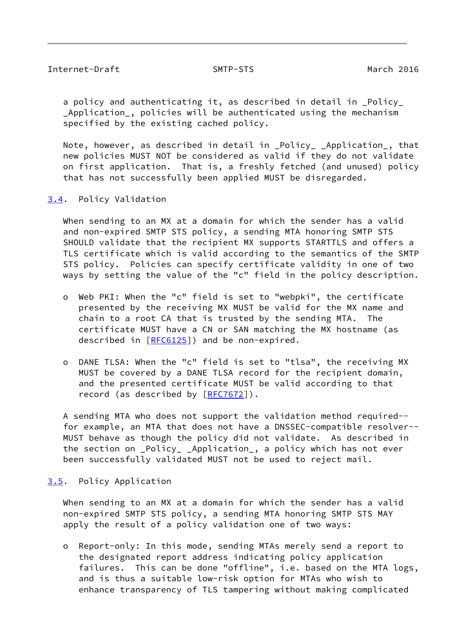<span id="page-9-1"></span> a policy and authenticating it, as described in detail in \_Policy\_ Application, policies will be authenticated using the mechanism specified by the existing cached policy.

 Note, however, as described in detail in \_Policy\_ \_Application\_, that new policies MUST NOT be considered as valid if they do not validate on first application. That is, a freshly fetched (and unused) policy that has not successfully been applied MUST be disregarded.

<span id="page-9-0"></span>[3.4](#page-9-0). Policy Validation

When sending to an MX at a domain for which the sender has a valid and non-expired SMTP STS policy, a sending MTA honoring SMTP STS SHOULD validate that the recipient MX supports STARTTLS and offers a TLS certificate which is valid according to the semantics of the SMTP STS policy. Policies can specify certificate validity in one of two ways by setting the value of the "c" field in the policy description.

- o Web PKI: When the "c" field is set to "webpki", the certificate presented by the receiving MX MUST be valid for the MX name and chain to a root CA that is trusted by the sending MTA. The certificate MUST have a CN or SAN matching the MX hostname (as described in  $[REG125]$ ) and be non-expired.
- o DANE TLSA: When the "c" field is set to "tlsa", the receiving MX MUST be covered by a DANE TLSA record for the recipient domain, and the presented certificate MUST be valid according to that record (as described by  $[RFC7672])$  $[RFC7672])$  $[RFC7672])$ .

 A sending MTA who does not support the validation method required- for example, an MTA that does not have a DNSSEC-compatible resolver-- MUST behave as though the policy did not validate. As described in the section on \_Policy\_ \_Application\_, a policy which has not ever been successfully validated MUST not be used to reject mail.

### <span id="page-9-2"></span>[3.5](#page-9-2). Policy Application

When sending to an MX at a domain for which the sender has a valid non-expired SMTP STS policy, a sending MTA honoring SMTP STS MAY apply the result of a policy validation one of two ways:

 o Report-only: In this mode, sending MTAs merely send a report to the designated report address indicating policy application failures. This can be done "offline", i.e. based on the MTA logs, and is thus a suitable low-risk option for MTAs who wish to enhance transparency of TLS tampering without making complicated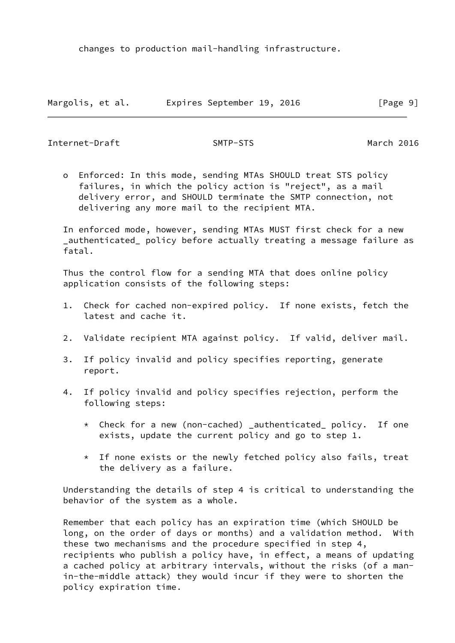changes to production mail-handling infrastructure.

|                  |  | Expires September 19, 2016 |  |          |  |
|------------------|--|----------------------------|--|----------|--|
| Margolis, et al. |  |                            |  | [Page 9] |  |

<span id="page-10-0"></span>Internet-Draft SMTP-STS March 2016

 o Enforced: In this mode, sending MTAs SHOULD treat STS policy failures, in which the policy action is "reject", as a mail delivery error, and SHOULD terminate the SMTP connection, not delivering any more mail to the recipient MTA.

 In enforced mode, however, sending MTAs MUST first check for a new \_authenticated\_ policy before actually treating a message failure as fatal.

 Thus the control flow for a sending MTA that does online policy application consists of the following steps:

- 1. Check for cached non-expired policy. If none exists, fetch the latest and cache it.
- 2. Validate recipient MTA against policy. If valid, deliver mail.
- 3. If policy invalid and policy specifies reporting, generate report.
- 4. If policy invalid and policy specifies rejection, perform the following steps:
	- \* Check for a new (non-cached) \_authenticated\_ policy. If one exists, update the current policy and go to step 1.
	- \* If none exists or the newly fetched policy also fails, treat the delivery as a failure.

 Understanding the details of step 4 is critical to understanding the behavior of the system as a whole.

 Remember that each policy has an expiration time (which SHOULD be long, on the order of days or months) and a validation method. With these two mechanisms and the procedure specified in step 4, recipients who publish a policy have, in effect, a means of updating a cached policy at arbitrary intervals, without the risks (of a man in-the-middle attack) they would incur if they were to shorten the policy expiration time.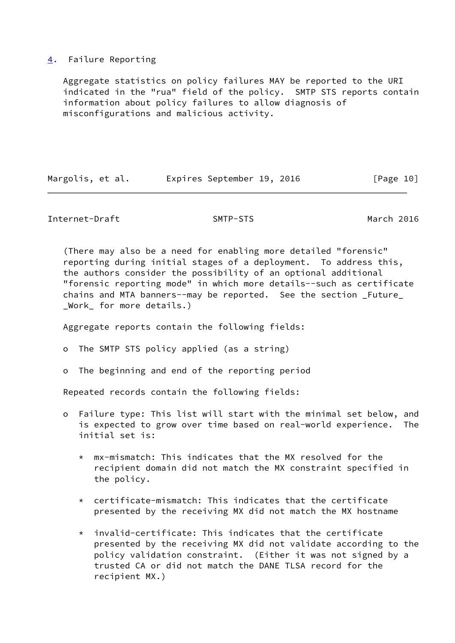## <span id="page-11-0"></span>[4](#page-11-0). Failure Reporting

 Aggregate statistics on policy failures MAY be reported to the URI indicated in the "rua" field of the policy. SMTP STS reports contain information about policy failures to allow diagnosis of misconfigurations and malicious activity.

|  | Margolis, et al. |  | Expires September 19, 2016 |  |  | [Page 10] |
|--|------------------|--|----------------------------|--|--|-----------|
|--|------------------|--|----------------------------|--|--|-----------|

Internet-Draft SMTP-STS March 2016

 (There may also be a need for enabling more detailed "forensic" reporting during initial stages of a deployment. To address this, the authors consider the possibility of an optional additional "forensic reporting mode" in which more details--such as certificate chains and MTA banners--may be reported. See the section \_Future\_ \_Work\_ for more details.)

Aggregate reports contain the following fields:

o The SMTP STS policy applied (as a string)

o The beginning and end of the reporting period

Repeated records contain the following fields:

- o Failure type: This list will start with the minimal set below, and is expected to grow over time based on real-world experience. The initial set is:
	- \* mx-mismatch: This indicates that the MX resolved for the recipient domain did not match the MX constraint specified in the policy.
	- $*$  certificate-mismatch: This indicates that the certificate presented by the receiving MX did not match the MX hostname
	- \* invalid-certificate: This indicates that the certificate presented by the receiving MX did not validate according to the policy validation constraint. (Either it was not signed by a trusted CA or did not match the DANE TLSA record for the recipient MX.)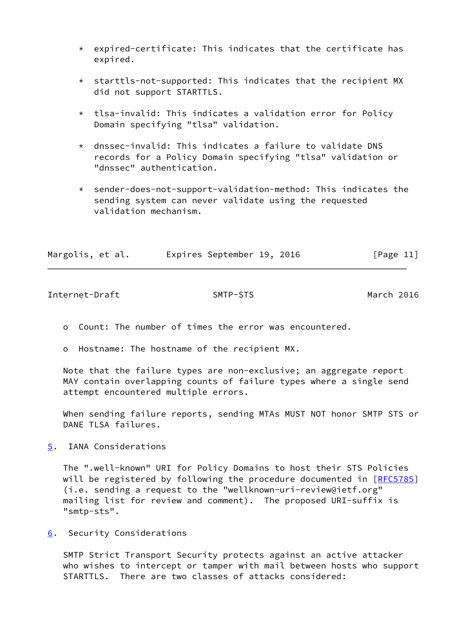- $*$  expired-certificate: This indicates that the certificate has expired.
- \* starttls-not-supported: This indicates that the recipient MX did not support STARTTLS.
- \* tlsa-invalid: This indicates a validation error for Policy Domain specifying "tlsa" validation.
- \* dnssec-invalid: This indicates a failure to validate DNS records for a Policy Domain specifying "tlsa" validation or "dnssec" authentication.
- \* sender-does-not-support-validation-method: This indicates the sending system can never validate using the requested validation mechanism.

| Margolis, et al. |  | Expires September 19, 2016 |  | [Page 11] |  |
|------------------|--|----------------------------|--|-----------|--|
|                  |  |                            |  |           |  |

<span id="page-12-1"></span>Internet-Draft SMTP-STS March 2016

- o Count: The number of times the error was encountered.
- o Hostname: The hostname of the recipient MX.

 Note that the failure types are non-exclusive; an aggregate report MAY contain overlapping counts of failure types where a single send attempt encountered multiple errors.

 When sending failure reports, sending MTAs MUST NOT honor SMTP STS or DANE TLSA failures.

<span id="page-12-0"></span>[5](#page-12-0). IANA Considerations

 The ".well-known" URI for Policy Domains to host their STS Policies will be registered by following the procedure documented in [\[RFC5785](https://datatracker.ietf.org/doc/pdf/rfc5785)] (i.e. sending a request to the "wellknown-uri-review@ietf.org" mailing list for review and comment). The proposed URI-suffix is "smtp-sts".

<span id="page-12-2"></span>[6](#page-12-2). Security Considerations

 SMTP Strict Transport Security protects against an active attacker who wishes to intercept or tamper with mail between hosts who support STARTTLS. There are two classes of attacks considered: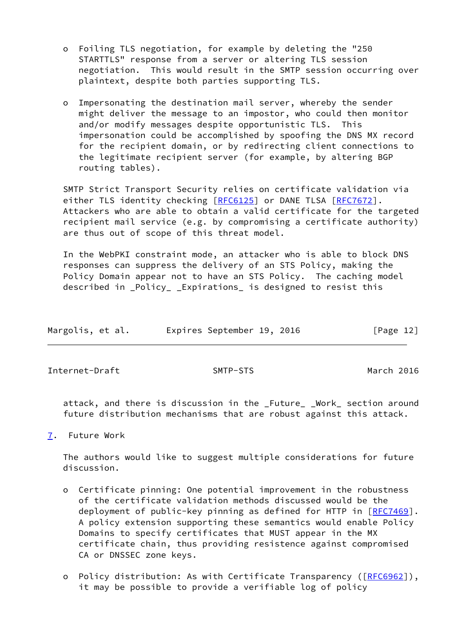- o Foiling TLS negotiation, for example by deleting the "250 STARTTLS" response from a server or altering TLS session negotiation. This would result in the SMTP session occurring over plaintext, despite both parties supporting TLS.
- o Impersonating the destination mail server, whereby the sender might deliver the message to an impostor, who could then monitor and/or modify messages despite opportunistic TLS. This impersonation could be accomplished by spoofing the DNS MX record for the recipient domain, or by redirecting client connections to the legitimate recipient server (for example, by altering BGP routing tables).

 SMTP Strict Transport Security relies on certificate validation via either TLS identity checking [\[RFC6125](https://datatracker.ietf.org/doc/pdf/rfc6125)] or DANE TLSA [\[RFC7672](https://datatracker.ietf.org/doc/pdf/rfc7672)]. Attackers who are able to obtain a valid certificate for the targeted recipient mail service (e.g. by compromising a certificate authority) are thus out of scope of this threat model.

 In the WebPKI constraint mode, an attacker who is able to block DNS responses can suppress the delivery of an STS Policy, making the Policy Domain appear not to have an STS Policy. The caching model described in \_Policy\_ \_Expirations\_ is designed to resist this

| Expires September 19, 2016<br>[Page 12]<br>Margolis, et al. |  |  |  |  |  |  |  |  |  |
|-------------------------------------------------------------|--|--|--|--|--|--|--|--|--|
|-------------------------------------------------------------|--|--|--|--|--|--|--|--|--|

<span id="page-13-1"></span>Internet-Draft SMTP-STS March 2016

 attack, and there is discussion in the \_Future\_ \_Work\_ section around future distribution mechanisms that are robust against this attack.

<span id="page-13-0"></span>[7](#page-13-0). Future Work

 The authors would like to suggest multiple considerations for future discussion.

- o Certificate pinning: One potential improvement in the robustness of the certificate validation methods discussed would be the deployment of public-key pinning as defined for HTTP in [[RFC7469\]](https://datatracker.ietf.org/doc/pdf/rfc7469). A policy extension supporting these semantics would enable Policy Domains to specify certificates that MUST appear in the MX certificate chain, thus providing resistence against compromised CA or DNSSEC zone keys.
- o Policy distribution: As with Certificate Transparency ([[RFC6962](https://datatracker.ietf.org/doc/pdf/rfc6962)]), it may be possible to provide a verifiable log of policy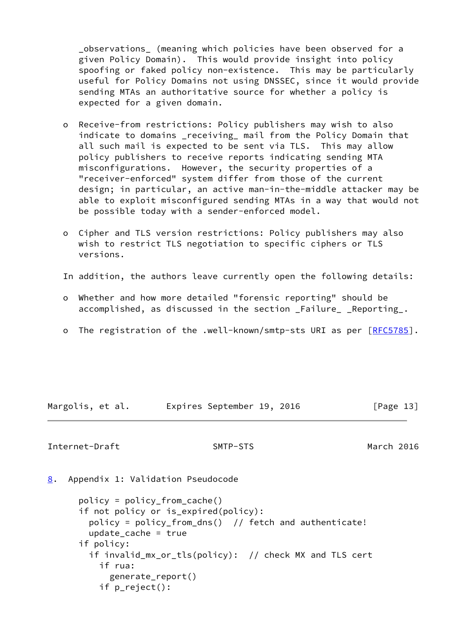\_observations\_ (meaning which policies have been observed for a given Policy Domain). This would provide insight into policy spoofing or faked policy non-existence. This may be particularly useful for Policy Domains not using DNSSEC, since it would provide sending MTAs an authoritative source for whether a policy is expected for a given domain.

- o Receive-from restrictions: Policy publishers may wish to also indicate to domains \_receiving\_ mail from the Policy Domain that all such mail is expected to be sent via TLS. This may allow policy publishers to receive reports indicating sending MTA misconfigurations. However, the security properties of a "receiver-enforced" system differ from those of the current design; in particular, an active man-in-the-middle attacker may be able to exploit misconfigured sending MTAs in a way that would not be possible today with a sender-enforced model.
- o Cipher and TLS version restrictions: Policy publishers may also wish to restrict TLS negotiation to specific ciphers or TLS versions.
- In addition, the authors leave currently open the following details:
- o Whether and how more detailed "forensic reporting" should be accomplished, as discussed in the section \_Failure\_ \_Reporting\_.
- o The registration of the .well-known/smtp-sts URI as per [[RFC5785\]](https://datatracker.ietf.org/doc/pdf/rfc5785).

Margolis, et al. Expires September 19, 2016 [Page 13]

### <span id="page-14-1"></span>Internet-Draft SMTP-STS March 2016

<span id="page-14-0"></span>[8](#page-14-0). Appendix 1: Validation Pseudocode

```
 policy = policy_from_cache()
 if not policy or is_expired(policy):
 policy = poly_c from_dns() // fetch and authenticate!
 update cache = true if policy:
  if invalid_mx_or_tls(policy): // check MX and TLS cert
     if rua:
       generate_report()
     if p_reject():
```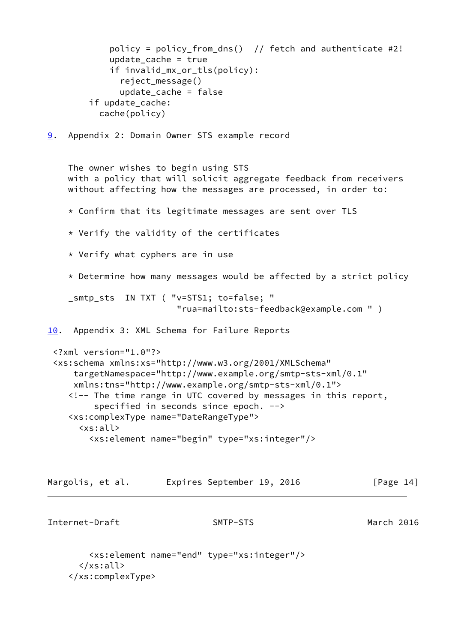```
policy = policy_from_dns() // fetch and authenticate #2!
           update cache = trueif invalid mx or tls(policy):
              reject_message()
              update_cache = false
        if update cache:
          cache(policy)
9. Appendix 2: Domain Owner STS example record
    The owner wishes to begin using STS
    with a policy that will solicit aggregate feedback from receivers
    without affecting how the messages are processed, in order to:
    * Confirm that its legitimate messages are sent over TLS
    * Verify the validity of the certificates
     * Verify what cyphers are in use
     * Determine how many messages would be affected by a strict policy
    _smtp_sts IN TXT ( "v=STS1; to=false; "
                         "rua=mailto:sts-feedback@example.com " )
10. Appendix 3: XML Schema for Failure Reports
  <?xml version="1.0"?>
  <xs:schema xmlns:xs="http://www.w3.org/2001/XMLSchema"
      targetNamespace="http://www.example.org/smtp-sts-xml/0.1"
     xmlns:tns="http://www.example.org/smtp-sts-xml/0.1">
     <!-- The time range in UTC covered by messages in this report,
         specified in seconds since epoch. -->
     <xs:complexType name="DateRangeType">
       <xs:all>
         <xs:element name="begin" type="xs:integer"/>
Margolis, et al.     Expires September 19, 2016           [Page 14]
Internet-Draft SMTP-STS March 2016
         <xs:element name="end" type="xs:integer"/>
```

```
 </xs:all>
```

```
 </xs:complexType>
```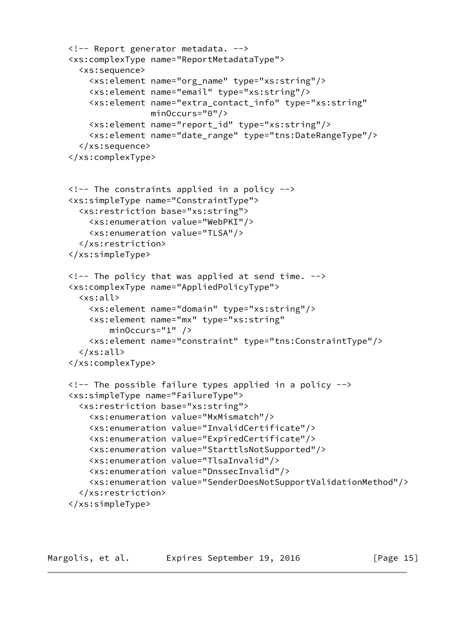```
 <!-- Report generator metadata. -->
 <xs:complexType name="ReportMetadataType">
   <xs:sequence>
     <xs:element name="org_name" type="xs:string"/>
     <xs:element name="email" type="xs:string"/>
     <xs:element name="extra_contact_info" type="xs:string"
                 minOccurs="0"/>
     <xs:element name="report_id" type="xs:string"/>
     <xs:element name="date_range" type="tns:DateRangeType"/>
   </xs:sequence>
 </xs:complexType>
 <!-- The constraints applied in a policy -->
 <xs:simpleType name="ConstraintType">
   <xs:restriction base="xs:string">
     <xs:enumeration value="WebPKI"/>
     <xs:enumeration value="TLSA"/>
   </xs:restriction>
 </xs:simpleType>
\langle !-- The policy that was applied at send time. \rightarrow <xs:complexType name="AppliedPolicyType">
   <xs:all>
     <xs:element name="domain" type="xs:string"/>
     <xs:element name="mx" type="xs:string"
         minOccurs="1" />
     <xs:element name="constraint" type="tns:ConstraintType"/>
   </xs:all>
 </xs:complexType>
 <!-- The possible failure types applied in a policy -->
 <xs:simpleType name="FailureType">
   <xs:restriction base="xs:string">
     <xs:enumeration value="MxMismatch"/>
     <xs:enumeration value="InvalidCertificate"/>
     <xs:enumeration value="ExpiredCertificate"/>
     <xs:enumeration value="StarttlsNotSupported"/>
     <xs:enumeration value="TlsaInvalid"/>
     <xs:enumeration value="DnssecInvalid"/>
     <xs:enumeration value="SenderDoesNotSupportValidationMethod"/>
   </xs:restriction>
 </xs:simpleType>
```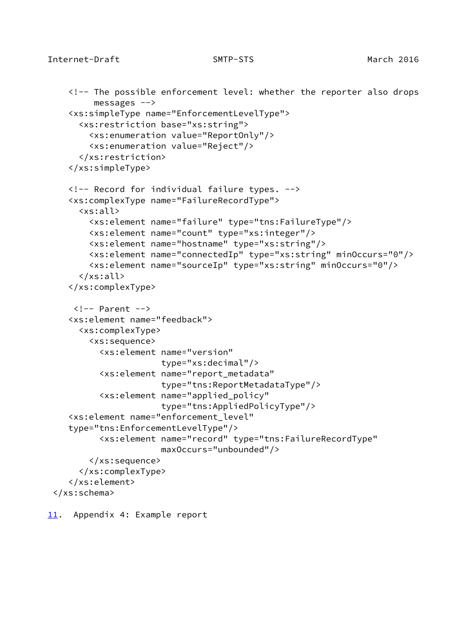```
 <!-- The possible enforcement level: whether the reporter also drops
         messages -->
    <xs:simpleType name="EnforcementLevelType">
      <xs:restriction base="xs:string">
        <xs:enumeration value="ReportOnly"/>
        <xs:enumeration value="Reject"/>
      </xs:restriction>
    </xs:simpleType>
    <!-- Record for individual failure types. -->
    <xs:complexType name="FailureRecordType">
      <xs:all>
        <xs:element name="failure" type="tns:FailureType"/>
        <xs:element name="count" type="xs:integer"/>
        <xs:element name="hostname" type="xs:string"/>
        <xs:element name="connectedIp" type="xs:string" minOccurs="0"/>
        <xs:element name="sourceIp" type="xs:string" minOccurs="0"/>
      </xs:all>
    </xs:complexType>
    \langle!-- Parent -->
    <xs:element name="feedback">
      <xs:complexType>
        <xs:sequence>
          <xs:element name="version"
                       type="xs:decimal"/>
          <xs:element name="report_metadata"
                       type="tns:ReportMetadataType"/>
          <xs:element name="applied_policy"
                       type="tns:AppliedPolicyType"/>
    <xs:element name="enforcement_level"
    type="tns:EnforcementLevelType"/>
          <xs:element name="record" type="tns:FailureRecordType"
                       maxOccurs="unbounded"/>
        </xs:sequence>
      </xs:complexType>
    </xs:element>
 </xs:schema>
```
<span id="page-17-0"></span>[11.](#page-17-0) Appendix 4: Example report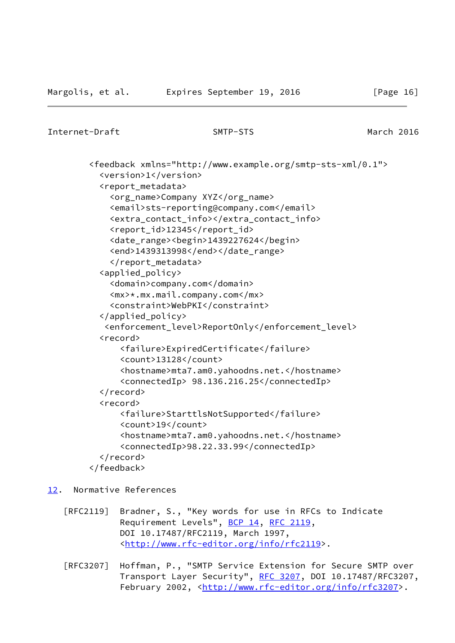```
Internet-Draft SMTP-STS March 2016
```
 <feedback xmlns="http://www.example.org/smtp-sts-xml/0.1"> <version>1</version> <report\_metadata> <org\_name>Company XYZ</org\_name> <email>sts-reporting@company.com</email> <extra\_contact\_info></extra\_contact\_info> <report\_id>12345</report\_id> <date\_range><begin>1439227624</begin> <end>1439313998</end></date\_range> </report\_metadata> <applied\_policy> <domain>company.com</domain> <mx>\*.mx.mail.company.com</mx> <constraint>WebPKI</constraint> </applied\_policy> <enforcement\_level>ReportOnly</enforcement\_level> <record> <failure>ExpiredCertificate</failure> <count>13128</count> <hostname>mta7.am0.yahoodns.net.</hostname> <connectedIp> 98.136.216.25</connectedIp> </record> <record> <failure>StarttlsNotSupported</failure> <count>19</count> <hostname>mta7.am0.yahoodns.net.</hostname> <connectedIp>98.22.33.99</connectedIp> </record> </feedback>

## <span id="page-18-0"></span>[12.](#page-18-0) Normative References

- [RFC2119] Bradner, S., "Key words for use in RFCs to Indicate Requirement Levels", [BCP 14](https://datatracker.ietf.org/doc/pdf/bcp14), [RFC 2119](https://datatracker.ietf.org/doc/pdf/rfc2119), DOI 10.17487/RFC2119, March 1997, <<http://www.rfc-editor.org/info/rfc2119>>.
- [RFC3207] Hoffman, P., "SMTP Service Extension for Secure SMTP over Transport Layer Security", [RFC 3207](https://datatracker.ietf.org/doc/pdf/rfc3207), DOI 10.17487/RFC3207, February 2002, <<http://www.rfc-editor.org/info/rfc3207>>.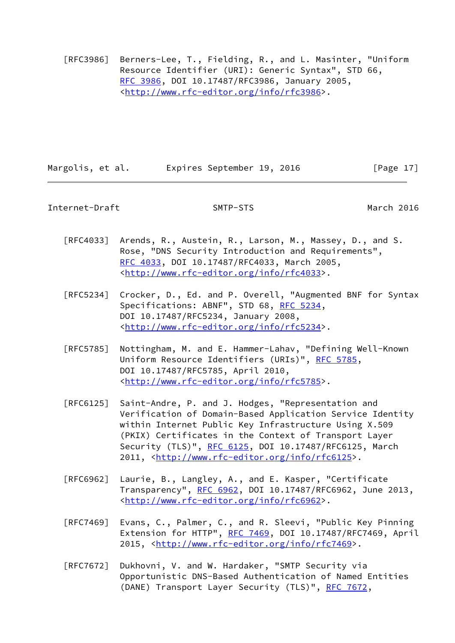[RFC3986] Berners-Lee, T., Fielding, R., and L. Masinter, "Uniform Resource Identifier (URI): Generic Syntax", STD 66, [RFC 3986,](https://datatracker.ietf.org/doc/pdf/rfc3986) DOI 10.17487/RFC3986, January 2005, <<http://www.rfc-editor.org/info/rfc3986>>.

Margolis, et al. Expires September 19, 2016 [Page 17]

<span id="page-19-0"></span>Internet-Draft SMTP-STS March 2016

- [RFC4033] Arends, R., Austein, R., Larson, M., Massey, D., and S. Rose, "DNS Security Introduction and Requirements", [RFC 4033,](https://datatracker.ietf.org/doc/pdf/rfc4033) DOI 10.17487/RFC4033, March 2005, <<http://www.rfc-editor.org/info/rfc4033>>.
- [RFC5234] Crocker, D., Ed. and P. Overell, "Augmented BNF for Syntax Specifications: ABNF", STD 68, [RFC 5234](https://datatracker.ietf.org/doc/pdf/rfc5234), DOI 10.17487/RFC5234, January 2008, <<http://www.rfc-editor.org/info/rfc5234>>.
- [RFC5785] Nottingham, M. and E. Hammer-Lahav, "Defining Well-Known Uniform Resource Identifiers (URIs)", [RFC 5785](https://datatracker.ietf.org/doc/pdf/rfc5785), DOI 10.17487/RFC5785, April 2010, <<http://www.rfc-editor.org/info/rfc5785>>.
- [RFC6125] Saint-Andre, P. and J. Hodges, "Representation and Verification of Domain-Based Application Service Identity within Internet Public Key Infrastructure Using X.509 (PKIX) Certificates in the Context of Transport Layer Security (TLS)", [RFC 6125,](https://datatracker.ietf.org/doc/pdf/rfc6125) DOI 10.17487/RFC6125, March 2011, [<http://www.rfc-editor.org/info/rfc6125](http://www.rfc-editor.org/info/rfc6125)>.
- [RFC6962] Laurie, B., Langley, A., and E. Kasper, "Certificate Transparency", [RFC 6962](https://datatracker.ietf.org/doc/pdf/rfc6962), DOI 10.17487/RFC6962, June 2013, <<http://www.rfc-editor.org/info/rfc6962>>.
- [RFC7469] Evans, C., Palmer, C., and R. Sleevi, "Public Key Pinning Extension for HTTP", [RFC 7469](https://datatracker.ietf.org/doc/pdf/rfc7469), DOI 10.17487/RFC7469, April 2015, [<http://www.rfc-editor.org/info/rfc7469](http://www.rfc-editor.org/info/rfc7469)>.
- [RFC7672] Dukhovni, V. and W. Hardaker, "SMTP Security via Opportunistic DNS-Based Authentication of Named Entities (DANE) Transport Layer Security (TLS)", [RFC 7672,](https://datatracker.ietf.org/doc/pdf/rfc7672)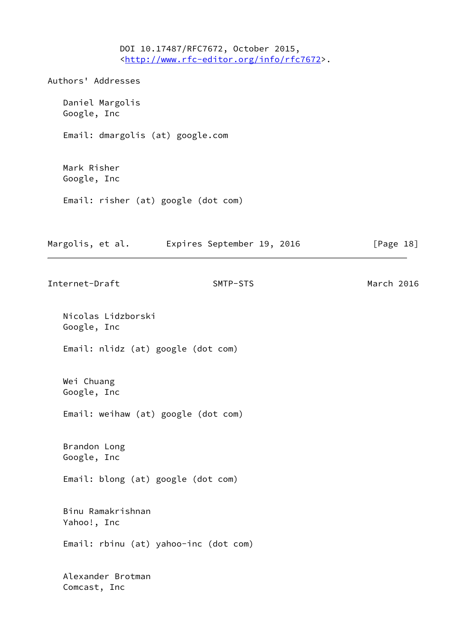DOI 10.17487/RFC7672, October 2015, <<http://www.rfc-editor.org/info/rfc7672>>. Authors' Addresses Daniel Margolis Google, Inc Email: dmargolis (at) google.com Mark Risher Google, Inc Email: risher (at) google (dot com) Margolis, et al. **Expires September 19, 2016**[Page 18] Internet-Draft SMTP-STS March 2016 Nicolas Lidzborski Google, Inc Email: nlidz (at) google (dot com) Wei Chuang Google, Inc Email: weihaw (at) google (dot com) Brandon Long Google, Inc Email: blong (at) google (dot com) Binu Ramakrishnan Yahoo!, Inc Email: rbinu (at) yahoo-inc (dot com) Alexander Brotman Comcast, Inc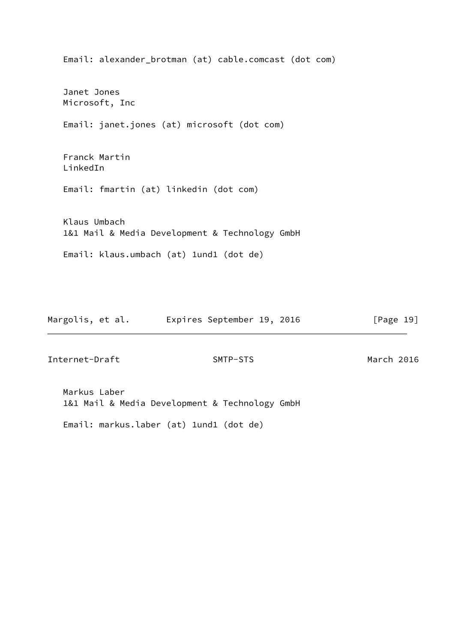Email: alexander\_brotman (at) cable.comcast (dot com) Janet Jones Microsoft, Inc Email: janet.jones (at) microsoft (dot com) Franck Martin LinkedIn Email: fmartin (at) linkedin (dot com) Klaus Umbach 1&1 Mail & Media Development & Technology GmbH Email: klaus.umbach (at) 1und1 (dot de)

Margolis, et al. **Expires September 19, 2016** 
[Page 19]

Internet-Draft SMTP-STS March 2016

 Markus Laber 1&1 Mail & Media Development & Technology GmbH

Email: markus.laber (at) 1und1 (dot de)